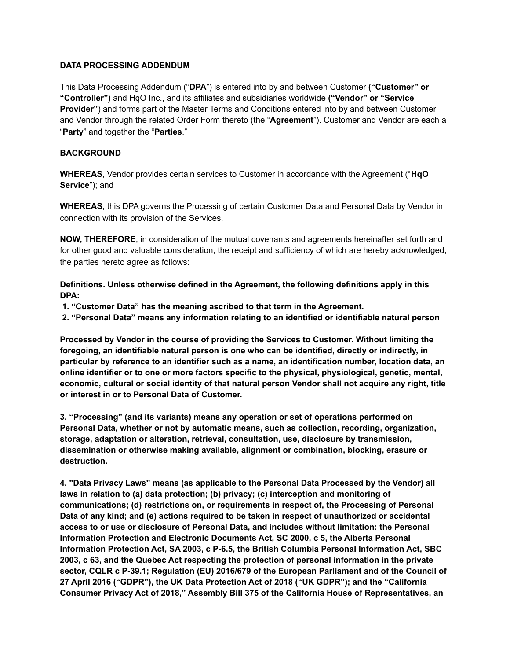#### **DATA PROCESSING ADDENDUM**

This Data Processing Addendum ("**DPA**") is entered into by and between Customer **("Customer" or "Controller")** and HqO Inc., and its affiliates and subsidiaries worldwide **("Vendor" or "Service Provider"**) and forms part of the Master Terms and Conditions entered into by and between Customer and Vendor through the related Order Form thereto (the "**Agreement**"). Customer and Vendor are each a "**Party**" and together the "**Parties**."

### **BACKGROUND**

**WHEREAS**, Vendor provides certain services to Customer in accordance with the Agreement ("**HqO Service**"); and

**WHEREAS**, this DPA governs the Processing of certain Customer Data and Personal Data by Vendor in connection with its provision of the Services.

**NOW, THEREFORE**, in consideration of the mutual covenants and agreements hereinafter set forth and for other good and valuable consideration, the receipt and sufficiency of which are hereby acknowledged, the parties hereto agree as follows:

**Definitions. Unless otherwise defined in the Agreement, the following definitions apply in this DPA:**

- **1. "Customer Data" has the meaning ascribed to that term in the Agreement.**
- **2. "Personal Data" means any information relating to an identified or identifiable natural person**

**Processed by Vendor in the course of providing the Services to Customer. Without limiting the foregoing, an identifiable natural person is one who can be identified, directly or indirectly, in particular by reference to an identifier such as a name, an identification number, location data, an online identifier or to one or more factors specific to the physical, physiological, genetic, mental, economic, cultural or social identity of that natural person Vendor shall not acquire any right, title or interest in or to Personal Data of Customer.**

**3. "Processing" (and its variants) means any operation or set of operations performed on Personal Data, whether or not by automatic means, such as collection, recording, organization, storage, adaptation or alteration, retrieval, consultation, use, disclosure by transmission, dissemination or otherwise making available, alignment or combination, blocking, erasure or destruction.**

**4. "Data Privacy Laws" means (as applicable to the Personal Data Processed by the Vendor) all laws in relation to (a) data protection; (b) privacy; (c) interception and monitoring of communications; (d) restrictions on, or requirements in respect of, the Processing of Personal Data of any kind; and (e) actions required to be taken in respect of unauthorized or accidental access to or use or disclosure of Personal Data, and includes without limitation: the Personal Information Protection and Electronic Documents Act, SC 2000, c 5, the Alberta Personal Information Protection Act, SA 2003, c P-6.5, the British Columbia Personal Information Act, SBC 2003, c 63, and the Quebec Act respecting the protection of personal information in the private sector, CQLR c P-39.1; Regulation (EU) 2016/679 of the European Parliament and of the Council of 27 April 2016 ("GDPR"), the UK Data Protection Act of 2018 ("UK GDPR"); and the "California Consumer Privacy Act of 2018," Assembly Bill 375 of the California House of Representatives, an**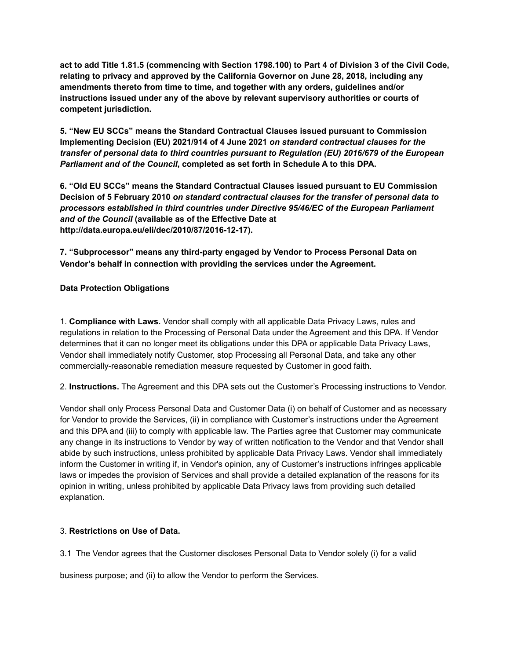act to add Title 1.81.5 (commencing with Section 1798.100) to Part 4 of Division 3 of the Civil Code, **relating to privacy and approved by the California Governor on June 28, 2018, including any amendments thereto from time to time, and together with any orders, guidelines and/or instructions issued under any of the above by relevant supervisory authorities or courts of competent jurisdiction.**

**5. "New EU SCCs" means the Standard Contractual Clauses issued pursuant to Commission Implementing Decision (EU) 2021/914 of 4 June 2021** *on standard contractual clauses for the transfer of personal data to third countries pursuant to Regulation (EU) 2016/679 of the European Parliament and of the Council***, completed as set forth in Schedule A to this DPA.**

**6. "Old EU SCCs" means the Standard Contractual Clauses issued pursuant to EU Commission Decision of 5 February 2010** *on standard contractual clauses for the transfer of personal data to processors established in third countries under Directive 95/46/EC of the European Parliament and of the Council* **(available as of the Effective Date at http://data.europa.eu/eli/dec/2010/87/2016-12-17).**

**7. "Subprocessor" means any third-party engaged by Vendor to Process Personal Data on Vendor's behalf in connection with providing the services under the Agreement.**

#### **Data Protection Obligations**

1. **Compliance with Laws.** Vendor shall comply with all applicable Data Privacy Laws, rules and regulations in relation to the Processing of Personal Data under the Agreement and this DPA. If Vendor determines that it can no longer meet its obligations under this DPA or applicable Data Privacy Laws, Vendor shall immediately notify Customer, stop Processing all Personal Data, and take any other commercially-reasonable remediation measure requested by Customer in good faith.

2. **Instructions.** The Agreement and this DPA sets out the Customer's Processing instructions to Vendor.

Vendor shall only Process Personal Data and Customer Data (i) on behalf of Customer and as necessary for Vendor to provide the Services, (ii) in compliance with Customer's instructions under the Agreement and this DPA and (iii) to comply with applicable law. The Parties agree that Customer may communicate any change in its instructions to Vendor by way of written notification to the Vendor and that Vendor shall abide by such instructions, unless prohibited by applicable Data Privacy Laws. Vendor shall immediately inform the Customer in writing if, in Vendor's opinion, any of Customer's instructions infringes applicable laws or impedes the provision of Services and shall provide a detailed explanation of the reasons for its opinion in writing, unless prohibited by applicable Data Privacy laws from providing such detailed explanation.

#### 3. **Restrictions on Use of Data.**

3.1 The Vendor agrees that the Customer discloses Personal Data to Vendor solely (i) for a valid

business purpose; and (ii) to allow the Vendor to perform the Services.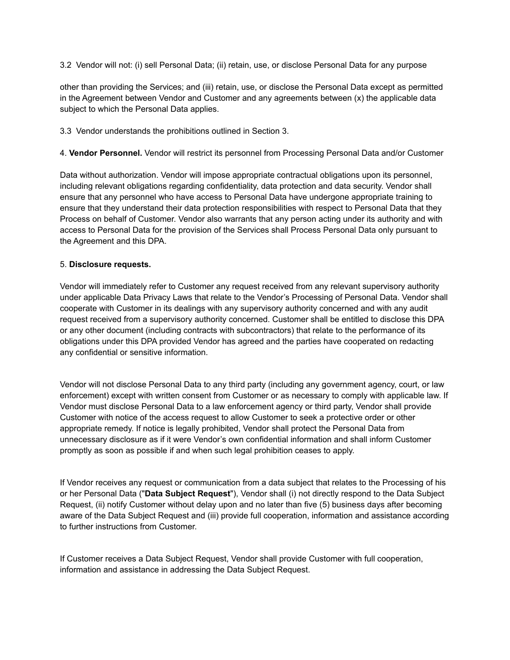3.2 Vendor will not: (i) sell Personal Data; (ii) retain, use, or disclose Personal Data for any purpose

other than providing the Services; and (iii) retain, use, or disclose the Personal Data except as permitted in the Agreement between Vendor and Customer and any agreements between (x) the applicable data subject to which the Personal Data applies.

3.3 Vendor understands the prohibitions outlined in Section 3.

#### 4. **Vendor Personnel.** Vendor will restrict its personnel from Processing Personal Data and/or Customer

Data without authorization. Vendor will impose appropriate contractual obligations upon its personnel, including relevant obligations regarding confidentiality, data protection and data security. Vendor shall ensure that any personnel who have access to Personal Data have undergone appropriate training to ensure that they understand their data protection responsibilities with respect to Personal Data that they Process on behalf of Customer. Vendor also warrants that any person acting under its authority and with access to Personal Data for the provision of the Services shall Process Personal Data only pursuant to the Agreement and this DPA.

#### 5. **Disclosure requests.**

Vendor will immediately refer to Customer any request received from any relevant supervisory authority under applicable Data Privacy Laws that relate to the Vendor's Processing of Personal Data. Vendor shall cooperate with Customer in its dealings with any supervisory authority concerned and with any audit request received from a supervisory authority concerned. Customer shall be entitled to disclose this DPA or any other document (including contracts with subcontractors) that relate to the performance of its obligations under this DPA provided Vendor has agreed and the parties have cooperated on redacting any confidential or sensitive information.

Vendor will not disclose Personal Data to any third party (including any government agency, court, or law enforcement) except with written consent from Customer or as necessary to comply with applicable law. If Vendor must disclose Personal Data to a law enforcement agency or third party, Vendor shall provide Customer with notice of the access request to allow Customer to seek a protective order or other appropriate remedy. If notice is legally prohibited, Vendor shall protect the Personal Data from unnecessary disclosure as if it were Vendor's own confidential information and shall inform Customer promptly as soon as possible if and when such legal prohibition ceases to apply.

If Vendor receives any request or communication from a data subject that relates to the Processing of his or her Personal Data ("**Data Subject Request**"), Vendor shall (i) not directly respond to the Data Subject Request, (ii) notify Customer without delay upon and no later than five (5) business days after becoming aware of the Data Subject Request and (iii) provide full cooperation, information and assistance according to further instructions from Customer.

If Customer receives a Data Subject Request, Vendor shall provide Customer with full cooperation, information and assistance in addressing the Data Subject Request.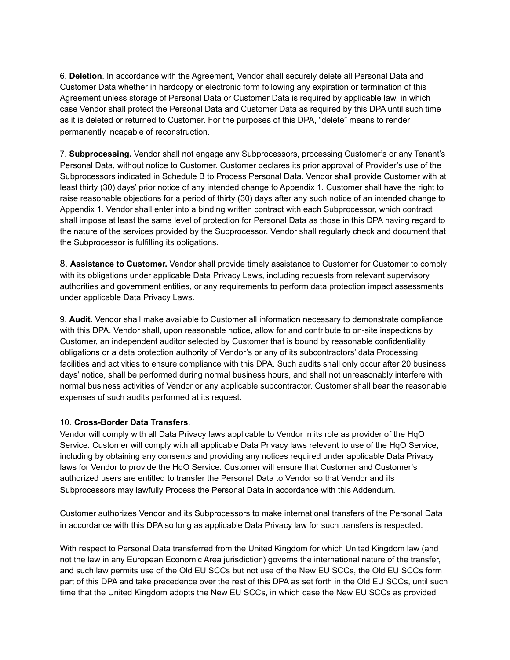6. **Deletion**. In accordance with the Agreement, Vendor shall securely delete all Personal Data and Customer Data whether in hardcopy or electronic form following any expiration or termination of this Agreement unless storage of Personal Data or Customer Data is required by applicable law, in which case Vendor shall protect the Personal Data and Customer Data as required by this DPA until such time as it is deleted or returned to Customer. For the purposes of this DPA, "delete" means to render permanently incapable of reconstruction.

7. **Subprocessing.** Vendor shall not engage any Subprocessors, processing Customer's or any Tenant's Personal Data, without notice to Customer. Customer declares its prior approval of Provider's use of the Subprocessors indicated in Schedule B to Process Personal Data. Vendor shall provide Customer with at least thirty (30) days' prior notice of any intended change to Appendix 1. Customer shall have the right to raise reasonable objections for a period of thirty (30) days after any such notice of an intended change to Appendix 1. Vendor shall enter into a binding written contract with each Subprocessor, which contract shall impose at least the same level of protection for Personal Data as those in this DPA having regard to the nature of the services provided by the Subprocessor. Vendor shall regularly check and document that the Subprocessor is fulfilling its obligations.

8. **Assistance to Customer.** Vendor shall provide timely assistance to Customer for Customer to comply with its obligations under applicable Data Privacy Laws, including requests from relevant supervisory authorities and government entities, or any requirements to perform data protection impact assessments under applicable Data Privacy Laws.

9. **Audit**. Vendor shall make available to Customer all information necessary to demonstrate compliance with this DPA. Vendor shall, upon reasonable notice, allow for and contribute to on-site inspections by Customer, an independent auditor selected by Customer that is bound by reasonable confidentiality obligations or a data protection authority of Vendor's or any of its subcontractors' data Processing facilities and activities to ensure compliance with this DPA. Such audits shall only occur after 20 business days' notice, shall be performed during normal business hours, and shall not unreasonably interfere with normal business activities of Vendor or any applicable subcontractor. Customer shall bear the reasonable expenses of such audits performed at its request.

#### 10. **Cross-Border Data Transfers**.

Vendor will comply with all Data Privacy laws applicable to Vendor in its role as provider of the HqO Service. Customer will comply with all applicable Data Privacy laws relevant to use of the HqO Service, including by obtaining any consents and providing any notices required under applicable Data Privacy laws for Vendor to provide the HqO Service. Customer will ensure that Customer and Customer's authorized users are entitled to transfer the Personal Data to Vendor so that Vendor and its Subprocessors may lawfully Process the Personal Data in accordance with this Addendum.

Customer authorizes Vendor and its Subprocessors to make international transfers of the Personal Data in accordance with this DPA so long as applicable Data Privacy law for such transfers is respected.

With respect to Personal Data transferred from the United Kingdom for which United Kingdom law (and not the law in any European Economic Area jurisdiction) governs the international nature of the transfer, and such law permits use of the Old EU SCCs but not use of the New EU SCCs, the Old EU SCCs form part of this DPA and take precedence over the rest of this DPA as set forth in the Old EU SCCs, until such time that the United Kingdom adopts the New EU SCCs, in which case the New EU SCCs as provided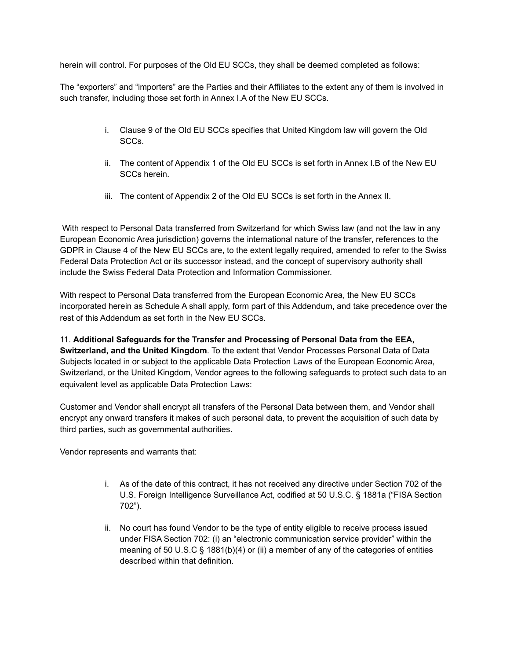herein will control. For purposes of the Old EU SCCs, they shall be deemed completed as follows:

The "exporters" and "importers" are the Parties and their Affiliates to the extent any of them is involved in such transfer, including those set forth in Annex I.A of the New EU SCCs.

- i. Clause 9 of the Old EU SCCs specifies that United Kingdom law will govern the Old SCCs.
- ii. The content of Appendix 1 of the Old EU SCCs is set forth in Annex I.B of the New EU SCCs herein.
- iii. The content of Appendix 2 of the Old EU SCCs is set forth in the Annex II.

With respect to Personal Data transferred from Switzerland for which Swiss law (and not the law in any European Economic Area jurisdiction) governs the international nature of the transfer, references to the GDPR in Clause 4 of the New EU SCCs are, to the extent legally required, amended to refer to the Swiss Federal Data Protection Act or its successor instead, and the concept of supervisory authority shall include the Swiss Federal Data Protection and Information Commissioner.

With respect to Personal Data transferred from the European Economic Area, the New EU SCCs incorporated herein as Schedule A shall apply, form part of this Addendum, and take precedence over the rest of this Addendum as set forth in the New EU SCCs.

11. **Additional Safeguards for the Transfer and Processing of Personal Data from the EEA, Switzerland, and the United Kingdom**. To the extent that Vendor Processes Personal Data of Data Subjects located in or subject to the applicable Data Protection Laws of the European Economic Area, Switzerland, or the United Kingdom, Vendor agrees to the following safeguards to protect such data to an equivalent level as applicable Data Protection Laws:

Customer and Vendor shall encrypt all transfers of the Personal Data between them, and Vendor shall encrypt any onward transfers it makes of such personal data, to prevent the acquisition of such data by third parties, such as governmental authorities.

Vendor represents and warrants that:

- i. As of the date of this contract, it has not received any directive under Section 702 of the U.S. Foreign Intelligence Surveillance Act, codified at 50 U.S.C. § 1881a ("FISA Section 702").
- ii. No court has found Vendor to be the type of entity eligible to receive process issued under FISA Section 702: (i) an "electronic communication service provider" within the meaning of 50 U.S.C § 1881(b)(4) or (ii) a member of any of the categories of entities described within that definition.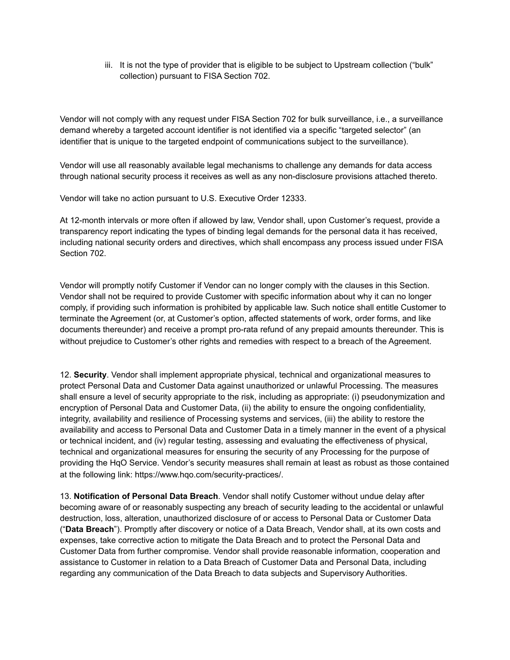iii. It is not the type of provider that is eligible to be subject to Upstream collection ("bulk" collection) pursuant to FISA Section 702.

Vendor will not comply with any request under FISA Section 702 for bulk surveillance, i.e., a surveillance demand whereby a targeted account identifier is not identified via a specific "targeted selector" (an identifier that is unique to the targeted endpoint of communications subject to the surveillance).

Vendor will use all reasonably available legal mechanisms to challenge any demands for data access through national security process it receives as well as any non-disclosure provisions attached thereto.

Vendor will take no action pursuant to U.S. Executive Order 12333.

At 12-month intervals or more often if allowed by law, Vendor shall, upon Customer's request, provide a transparency report indicating the types of binding legal demands for the personal data it has received, including national security orders and directives, which shall encompass any process issued under FISA Section 702.

Vendor will promptly notify Customer if Vendor can no longer comply with the clauses in this Section. Vendor shall not be required to provide Customer with specific information about why it can no longer comply, if providing such information is prohibited by applicable law. Such notice shall entitle Customer to terminate the Agreement (or, at Customer's option, affected statements of work, order forms, and like documents thereunder) and receive a prompt pro-rata refund of any prepaid amounts thereunder. This is without prejudice to Customer's other rights and remedies with respect to a breach of the Agreement.

12. **Security**. Vendor shall implement appropriate physical, technical and organizational measures to protect Personal Data and Customer Data against unauthorized or unlawful Processing. The measures shall ensure a level of security appropriate to the risk, including as appropriate: (i) pseudonymization and encryption of Personal Data and Customer Data, (ii) the ability to ensure the ongoing confidentiality, integrity, availability and resilience of Processing systems and services, (iii) the ability to restore the availability and access to Personal Data and Customer Data in a timely manner in the event of a physical or technical incident, and (iv) regular testing, assessing and evaluating the effectiveness of physical, technical and organizational measures for ensuring the security of any Processing for the purpose of providing the HqO Service. Vendor's security measures shall remain at least as robust as those contained at the following link: https://www.hqo.com/security-practices/.

13. **Notification of Personal Data Breach**. Vendor shall notify Customer without undue delay after becoming aware of or reasonably suspecting any breach of security leading to the accidental or unlawful destruction, loss, alteration, unauthorized disclosure of or access to Personal Data or Customer Data ("**Data Breach**"). Promptly after discovery or notice of a Data Breach, Vendor shall, at its own costs and expenses, take corrective action to mitigate the Data Breach and to protect the Personal Data and Customer Data from further compromise. Vendor shall provide reasonable information, cooperation and assistance to Customer in relation to a Data Breach of Customer Data and Personal Data, including regarding any communication of the Data Breach to data subjects and Supervisory Authorities.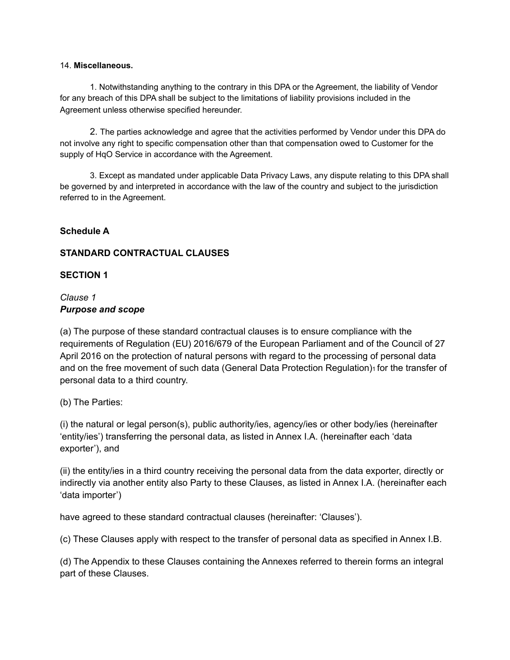#### 14. **Miscellaneous.**

1. Notwithstanding anything to the contrary in this DPA or the Agreement, the liability of Vendor for any breach of this DPA shall be subject to the limitations of liability provisions included in the Agreement unless otherwise specified hereunder.

2. The parties acknowledge and agree that the activities performed by Vendor under this DPA do not involve any right to specific compensation other than that compensation owed to Customer for the supply of HqO Service in accordance with the Agreement.

3. Except as mandated under applicable Data Privacy Laws, any dispute relating to this DPA shall be governed by and interpreted in accordance with the law of the country and subject to the jurisdiction referred to in the Agreement.

#### **Schedule A**

#### **STANDARD CONTRACTUAL CLAUSES**

#### **SECTION 1**

### *Clause 1 Purpose and scope*

(a) The purpose of these standard contractual clauses is to ensure compliance with the requirements of Regulation (EU) 2016/679 of the European Parliament and of the Council of 27 April 2016 on the protection of natural persons with regard to the processing of personal data and on the free movement of such data (General Data Protection Regulation)<sub>1</sub> for the transfer of personal data to a third country.

(b) The Parties:

(i) the natural or legal person(s), public authority/ies, agency/ies or other body/ies (hereinafter 'entity/ies') transferring the personal data, as listed in Annex I.A. (hereinafter each 'data exporter'), and

(ii) the entity/ies in a third country receiving the personal data from the data exporter, directly or indirectly via another entity also Party to these Clauses, as listed in Annex I.A. (hereinafter each 'data importer')

have agreed to these standard contractual clauses (hereinafter: 'Clauses').

(c) These Clauses apply with respect to the transfer of personal data as specified in Annex I.B.

(d) The Appendix to these Clauses containing the Annexes referred to therein forms an integral part of these Clauses.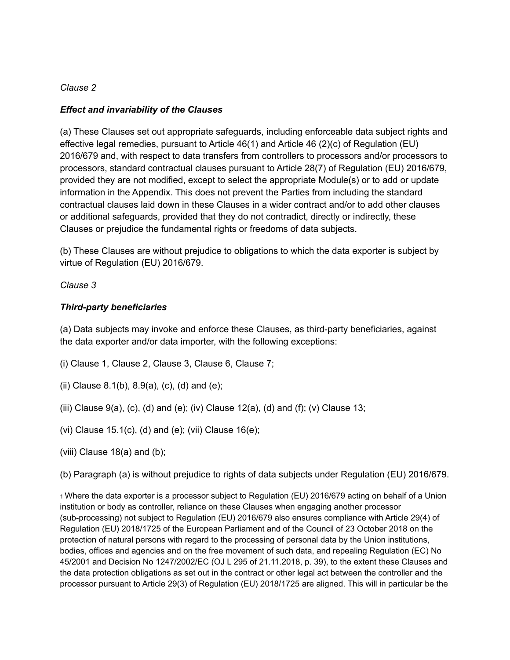## *Clause 2*

## *Effect and invariability of the Clauses*

(a) These Clauses set out appropriate safeguards, including enforceable data subject rights and effective legal remedies, pursuant to Article 46(1) and Article 46 (2)(c) of Regulation (EU) 2016/679 and, with respect to data transfers from controllers to processors and/or processors to processors, standard contractual clauses pursuant to Article 28(7) of Regulation (EU) 2016/679, provided they are not modified, except to select the appropriate Module(s) or to add or update information in the Appendix. This does not prevent the Parties from including the standard contractual clauses laid down in these Clauses in a wider contract and/or to add other clauses or additional safeguards, provided that they do not contradict, directly or indirectly, these Clauses or prejudice the fundamental rights or freedoms of data subjects.

(b) These Clauses are without prejudice to obligations to which the data exporter is subject by virtue of Regulation (EU) 2016/679.

### *Clause 3*

## *Third-party beneficiaries*

(a) Data subjects may invoke and enforce these Clauses, as third-party beneficiaries, against the data exporter and/or data importer, with the following exceptions:

- (i) Clause 1, Clause 2, Clause 3, Clause 6, Clause 7;
- (ii) Clause  $8.1(b)$ ,  $8.9(a)$ , (c), (d) and (e);
- (iii) Clause  $9(a)$ , (c), (d) and (e); (iv) Clause 12(a), (d) and (f); (v) Clause 13;
- (vi) Clause 15.1(c), (d) and (e); (vii) Clause  $16(e)$ ;
- (viii) Clause  $18(a)$  and (b);

(b) Paragraph (a) is without prejudice to rights of data subjects under Regulation (EU) 2016/679.

<sup>1</sup> Where the data exporter is a processor subject to Regulation (EU) 2016/679 acting on behalf of a Union institution or body as controller, reliance on these Clauses when engaging another processor (sub-processing) not subject to Regulation (EU) 2016/679 also ensures compliance with Article 29(4) of Regulation (EU) 2018/1725 of the European Parliament and of the Council of 23 October 2018 on the protection of natural persons with regard to the processing of personal data by the Union institutions, bodies, offices and agencies and on the free movement of such data, and repealing Regulation (EC) No 45/2001 and Decision No 1247/2002/EC (OJ L 295 of 21.11.2018, p. 39), to the extent these Clauses and the data protection obligations as set out in the contract or other legal act between the controller and the processor pursuant to Article 29(3) of Regulation (EU) 2018/1725 are aligned. This will in particular be the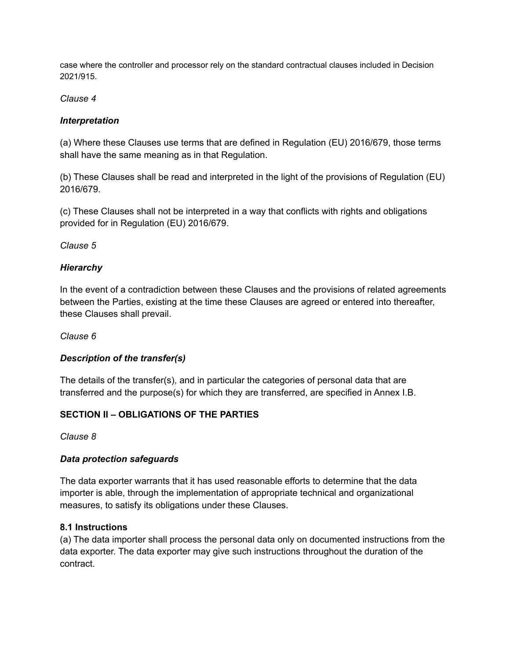case where the controller and processor rely on the standard contractual clauses included in Decision 2021/915.

*Clause 4*

#### *Interpretation*

(a) Where these Clauses use terms that are defined in Regulation (EU) 2016/679, those terms shall have the same meaning as in that Regulation.

(b) These Clauses shall be read and interpreted in the light of the provisions of Regulation (EU) 2016/679.

(c) These Clauses shall not be interpreted in a way that conflicts with rights and obligations provided for in Regulation (EU) 2016/679.

*Clause 5*

#### *Hierarchy*

In the event of a contradiction between these Clauses and the provisions of related agreements between the Parties, existing at the time these Clauses are agreed or entered into thereafter, these Clauses shall prevail.

*Clause 6*

### *Description of the transfer(s)*

The details of the transfer(s), and in particular the categories of personal data that are transferred and the purpose(s) for which they are transferred, are specified in Annex I.B.

### **SECTION II – OBLIGATIONS OF THE PARTIES**

*Clause 8*

#### *Data protection safeguards*

The data exporter warrants that it has used reasonable efforts to determine that the data importer is able, through the implementation of appropriate technical and organizational measures, to satisfy its obligations under these Clauses.

#### **8.1 Instructions**

(a) The data importer shall process the personal data only on documented instructions from the data exporter. The data exporter may give such instructions throughout the duration of the contract.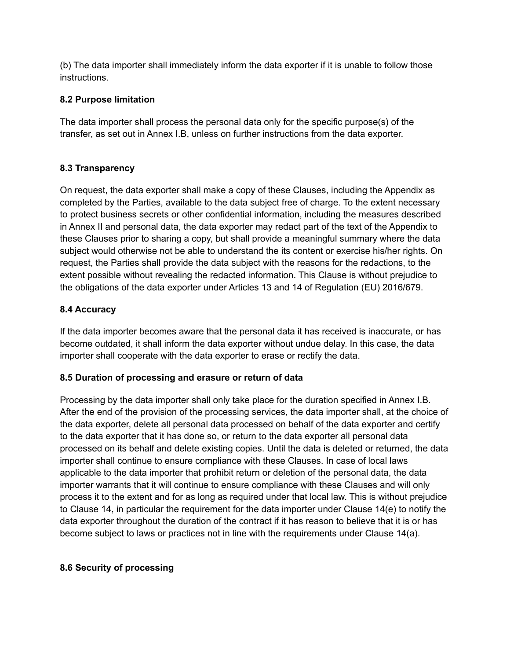(b) The data importer shall immediately inform the data exporter if it is unable to follow those instructions.

# **8.2 Purpose limitation**

The data importer shall process the personal data only for the specific purpose(s) of the transfer, as set out in Annex I.B, unless on further instructions from the data exporter.

# **8.3 Transparency**

On request, the data exporter shall make a copy of these Clauses, including the Appendix as completed by the Parties, available to the data subject free of charge. To the extent necessary to protect business secrets or other confidential information, including the measures described in Annex II and personal data, the data exporter may redact part of the text of the Appendix to these Clauses prior to sharing a copy, but shall provide a meaningful summary where the data subject would otherwise not be able to understand the its content or exercise his/her rights. On request, the Parties shall provide the data subject with the reasons for the redactions, to the extent possible without revealing the redacted information. This Clause is without prejudice to the obligations of the data exporter under Articles 13 and 14 of Regulation (EU) 2016/679.

# **8.4 Accuracy**

If the data importer becomes aware that the personal data it has received is inaccurate, or has become outdated, it shall inform the data exporter without undue delay. In this case, the data importer shall cooperate with the data exporter to erase or rectify the data.

# **8.5 Duration of processing and erasure or return of data**

Processing by the data importer shall only take place for the duration specified in Annex I.B. After the end of the provision of the processing services, the data importer shall, at the choice of the data exporter, delete all personal data processed on behalf of the data exporter and certify to the data exporter that it has done so, or return to the data exporter all personal data processed on its behalf and delete existing copies. Until the data is deleted or returned, the data importer shall continue to ensure compliance with these Clauses. In case of local laws applicable to the data importer that prohibit return or deletion of the personal data, the data importer warrants that it will continue to ensure compliance with these Clauses and will only process it to the extent and for as long as required under that local law. This is without prejudice to Clause 14, in particular the requirement for the data importer under Clause 14(e) to notify the data exporter throughout the duration of the contract if it has reason to believe that it is or has become subject to laws or practices not in line with the requirements under Clause 14(a).

# **8.6 Security of processing**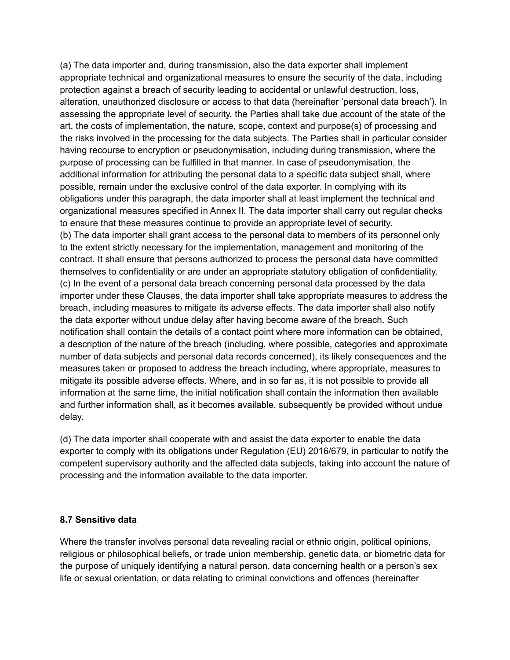(a) The data importer and, during transmission, also the data exporter shall implement appropriate technical and organizational measures to ensure the security of the data, including protection against a breach of security leading to accidental or unlawful destruction, loss, alteration, unauthorized disclosure or access to that data (hereinafter 'personal data breach'). In assessing the appropriate level of security, the Parties shall take due account of the state of the art, the costs of implementation, the nature, scope, context and purpose(s) of processing and the risks involved in the processing for the data subjects. The Parties shall in particular consider having recourse to encryption or pseudonymisation, including during transmission, where the purpose of processing can be fulfilled in that manner. In case of pseudonymisation, the additional information for attributing the personal data to a specific data subject shall, where possible, remain under the exclusive control of the data exporter. In complying with its obligations under this paragraph, the data importer shall at least implement the technical and organizational measures specified in Annex II. The data importer shall carry out regular checks to ensure that these measures continue to provide an appropriate level of security. (b) The data importer shall grant access to the personal data to members of its personnel only to the extent strictly necessary for the implementation, management and monitoring of the contract. It shall ensure that persons authorized to process the personal data have committed themselves to confidentiality or are under an appropriate statutory obligation of confidentiality. (c) In the event of a personal data breach concerning personal data processed by the data importer under these Clauses, the data importer shall take appropriate measures to address the breach, including measures to mitigate its adverse effects. The data importer shall also notify the data exporter without undue delay after having become aware of the breach. Such notification shall contain the details of a contact point where more information can be obtained, a description of the nature of the breach (including, where possible, categories and approximate number of data subjects and personal data records concerned), its likely consequences and the measures taken or proposed to address the breach including, where appropriate, measures to mitigate its possible adverse effects. Where, and in so far as, it is not possible to provide all information at the same time, the initial notification shall contain the information then available and further information shall, as it becomes available, subsequently be provided without undue delay.

(d) The data importer shall cooperate with and assist the data exporter to enable the data exporter to comply with its obligations under Regulation (EU) 2016/679, in particular to notify the competent supervisory authority and the affected data subjects, taking into account the nature of processing and the information available to the data importer.

### **8.7 Sensitive data**

Where the transfer involves personal data revealing racial or ethnic origin, political opinions, religious or philosophical beliefs, or trade union membership, genetic data, or biometric data for the purpose of uniquely identifying a natural person, data concerning health or a person's sex life or sexual orientation, or data relating to criminal convictions and offences (hereinafter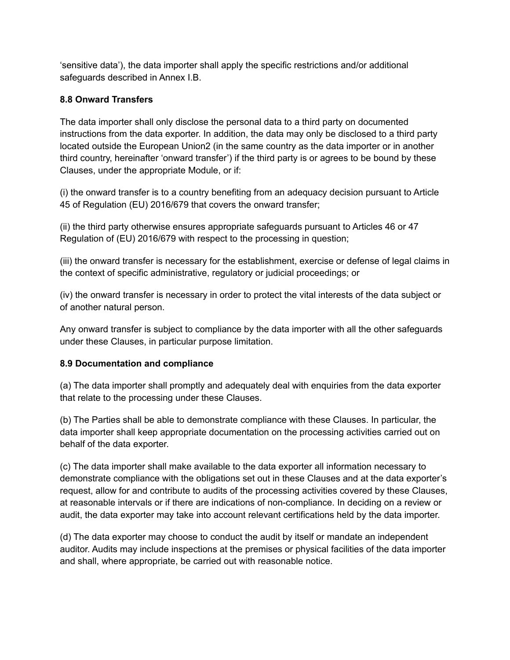'sensitive data'), the data importer shall apply the specific restrictions and/or additional safeguards described in Annex I.B.

# **8.8 Onward Transfers**

The data importer shall only disclose the personal data to a third party on documented instructions from the data exporter. In addition, the data may only be disclosed to a third party located outside the European Union2 (in the same country as the data importer or in another third country, hereinafter 'onward transfer') if the third party is or agrees to be bound by these Clauses, under the appropriate Module, or if:

(i) the onward transfer is to a country benefiting from an adequacy decision pursuant to Article 45 of Regulation (EU) 2016/679 that covers the onward transfer;

(ii) the third party otherwise ensures appropriate safeguards pursuant to Articles 46 or 47 Regulation of (EU) 2016/679 with respect to the processing in question;

(iii) the onward transfer is necessary for the establishment, exercise or defense of legal claims in the context of specific administrative, regulatory or judicial proceedings; or

(iv) the onward transfer is necessary in order to protect the vital interests of the data subject or of another natural person.

Any onward transfer is subject to compliance by the data importer with all the other safeguards under these Clauses, in particular purpose limitation.

### **8.9 Documentation and compliance**

(a) The data importer shall promptly and adequately deal with enquiries from the data exporter that relate to the processing under these Clauses.

(b) The Parties shall be able to demonstrate compliance with these Clauses. In particular, the data importer shall keep appropriate documentation on the processing activities carried out on behalf of the data exporter.

(c) The data importer shall make available to the data exporter all information necessary to demonstrate compliance with the obligations set out in these Clauses and at the data exporter's request, allow for and contribute to audits of the processing activities covered by these Clauses, at reasonable intervals or if there are indications of non-compliance. In deciding on a review or audit, the data exporter may take into account relevant certifications held by the data importer.

(d) The data exporter may choose to conduct the audit by itself or mandate an independent auditor. Audits may include inspections at the premises or physical facilities of the data importer and shall, where appropriate, be carried out with reasonable notice.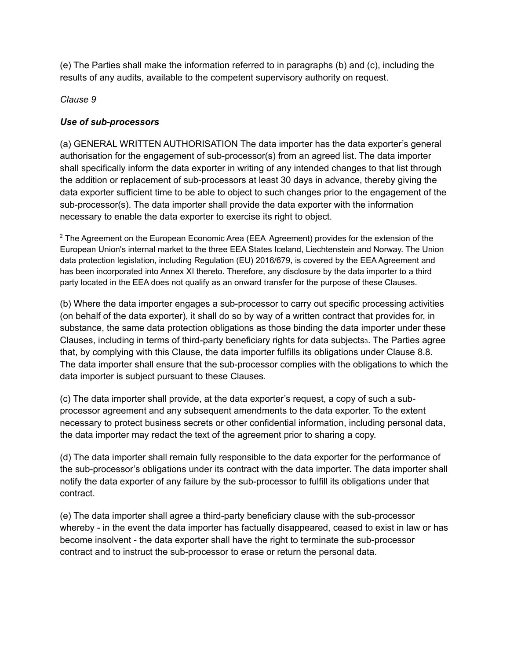(e) The Parties shall make the information referred to in paragraphs (b) and (c), including the results of any audits, available to the competent supervisory authority on request.

### *Clause 9*

# *Use of sub-processors*

(a) GENERAL WRITTEN AUTHORISATION The data importer has the data exporter's general authorisation for the engagement of sub-processor(s) from an agreed list. The data importer shall specifically inform the data exporter in writing of any intended changes to that list through the addition or replacement of sub-processors at least 30 days in advance, thereby giving the data exporter sufficient time to be able to object to such changes prior to the engagement of the sub-processor(s). The data importer shall provide the data exporter with the information necessary to enable the data exporter to exercise its right to object.

<sup>2</sup> The Agreement on the European Economic Area (EEA Agreement) provides for the extension of the European Union's internal market to the three EEA States Iceland, Liechtenstein and Norway. The Union data protection legislation, including Regulation (EU) 2016/679, is covered by the EEA Agreement and has been incorporated into Annex XI thereto. Therefore, any disclosure by the data importer to a third party located in the EEA does not qualify as an onward transfer for the purpose of these Clauses.

(b) Where the data importer engages a sub-processor to carry out specific processing activities (on behalf of the data exporter), it shall do so by way of a written contract that provides for, in substance, the same data protection obligations as those binding the data importer under these Clauses, including in terms of third-party beneficiary rights for data subjects<sub>3</sub>. The Parties agree that, by complying with this Clause, the data importer fulfills its obligations under Clause 8.8. The data importer shall ensure that the sub-processor complies with the obligations to which the data importer is subject pursuant to these Clauses.

(c) The data importer shall provide, at the data exporter's request, a copy of such a subprocessor agreement and any subsequent amendments to the data exporter. To the extent necessary to protect business secrets or other confidential information, including personal data, the data importer may redact the text of the agreement prior to sharing a copy.

(d) The data importer shall remain fully responsible to the data exporter for the performance of the sub-processor's obligations under its contract with the data importer. The data importer shall notify the data exporter of any failure by the sub-processor to fulfill its obligations under that contract.

(e) The data importer shall agree a third-party beneficiary clause with the sub-processor whereby - in the event the data importer has factually disappeared, ceased to exist in law or has become insolvent - the data exporter shall have the right to terminate the sub-processor contract and to instruct the sub-processor to erase or return the personal data.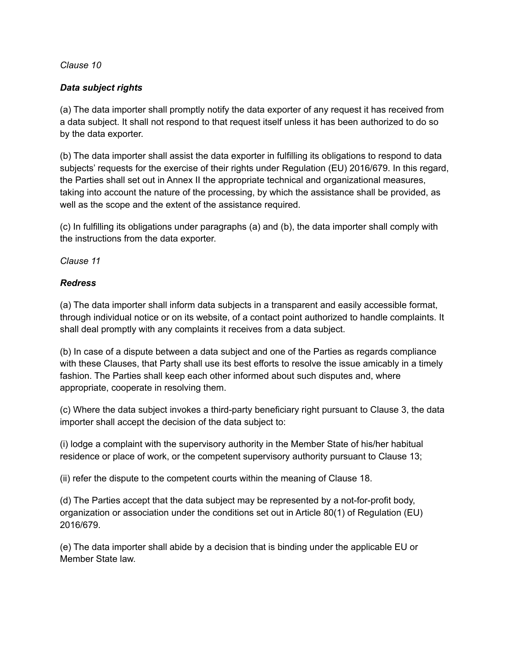### *Clause 10*

# *Data subject rights*

(a) The data importer shall promptly notify the data exporter of any request it has received from a data subject. It shall not respond to that request itself unless it has been authorized to do so by the data exporter.

(b) The data importer shall assist the data exporter in fulfilling its obligations to respond to data subjects' requests for the exercise of their rights under Regulation (EU) 2016/679. In this regard, the Parties shall set out in Annex II the appropriate technical and organizational measures, taking into account the nature of the processing, by which the assistance shall be provided, as well as the scope and the extent of the assistance required.

(c) In fulfilling its obligations under paragraphs (a) and (b), the data importer shall comply with the instructions from the data exporter.

*Clause 11*

## *Redress*

(a) The data importer shall inform data subjects in a transparent and easily accessible format, through individual notice or on its website, of a contact point authorized to handle complaints. It shall deal promptly with any complaints it receives from a data subject.

(b) In case of a dispute between a data subject and one of the Parties as regards compliance with these Clauses, that Party shall use its best efforts to resolve the issue amicably in a timely fashion. The Parties shall keep each other informed about such disputes and, where appropriate, cooperate in resolving them.

(c) Where the data subject invokes a third-party beneficiary right pursuant to Clause 3, the data importer shall accept the decision of the data subject to:

(i) lodge a complaint with the supervisory authority in the Member State of his/her habitual residence or place of work, or the competent supervisory authority pursuant to Clause 13;

(ii) refer the dispute to the competent courts within the meaning of Clause 18.

(d) The Parties accept that the data subject may be represented by a not-for-profit body, organization or association under the conditions set out in Article 80(1) of Regulation (EU) 2016/679.

(e) The data importer shall abide by a decision that is binding under the applicable EU or Member State law.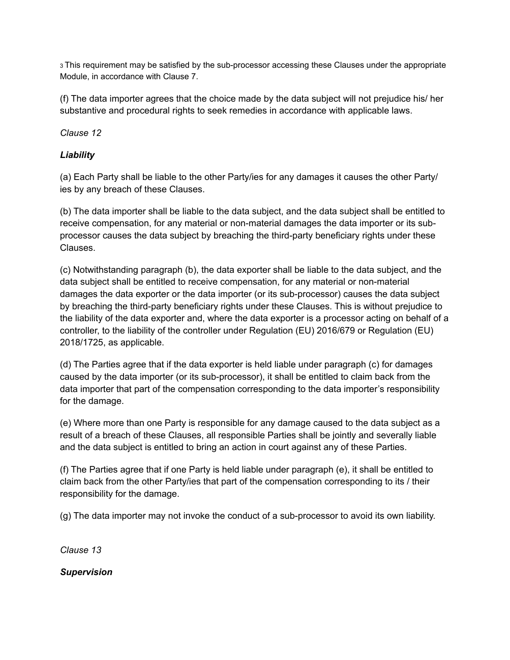<sup>3</sup> This requirement may be satisfied by the sub-processor accessing these Clauses under the appropriate Module, in accordance with Clause 7.

(f) The data importer agrees that the choice made by the data subject will not prejudice his/ her substantive and procedural rights to seek remedies in accordance with applicable laws.

*Clause 12*

# *Liability*

(a) Each Party shall be liable to the other Party/ies for any damages it causes the other Party/ ies by any breach of these Clauses.

(b) The data importer shall be liable to the data subject, and the data subject shall be entitled to receive compensation, for any material or non-material damages the data importer or its subprocessor causes the data subject by breaching the third-party beneficiary rights under these Clauses.

(c) Notwithstanding paragraph (b), the data exporter shall be liable to the data subject, and the data subject shall be entitled to receive compensation, for any material or non-material damages the data exporter or the data importer (or its sub-processor) causes the data subject by breaching the third-party beneficiary rights under these Clauses. This is without prejudice to the liability of the data exporter and, where the data exporter is a processor acting on behalf of a controller, to the liability of the controller under Regulation (EU) 2016/679 or Regulation (EU) 2018/1725, as applicable.

(d) The Parties agree that if the data exporter is held liable under paragraph (c) for damages caused by the data importer (or its sub-processor), it shall be entitled to claim back from the data importer that part of the compensation corresponding to the data importer's responsibility for the damage.

(e) Where more than one Party is responsible for any damage caused to the data subject as a result of a breach of these Clauses, all responsible Parties shall be jointly and severally liable and the data subject is entitled to bring an action in court against any of these Parties.

(f) The Parties agree that if one Party is held liable under paragraph (e), it shall be entitled to claim back from the other Party/ies that part of the compensation corresponding to its / their responsibility for the damage.

(g) The data importer may not invoke the conduct of a sub-processor to avoid its own liability.

*Clause 13*

*Supervision*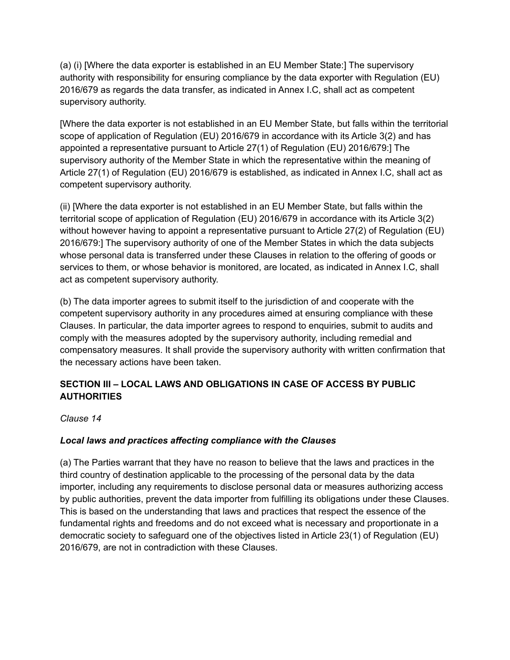(a) (i) [Where the data exporter is established in an EU Member State:] The supervisory authority with responsibility for ensuring compliance by the data exporter with Regulation (EU) 2016/679 as regards the data transfer, as indicated in Annex I.C, shall act as competent supervisory authority.

[Where the data exporter is not established in an EU Member State, but falls within the territorial scope of application of Regulation (EU) 2016/679 in accordance with its Article 3(2) and has appointed a representative pursuant to Article 27(1) of Regulation (EU) 2016/679:] The supervisory authority of the Member State in which the representative within the meaning of Article 27(1) of Regulation (EU) 2016/679 is established, as indicated in Annex I.C, shall act as competent supervisory authority.

(ii) [Where the data exporter is not established in an EU Member State, but falls within the territorial scope of application of Regulation (EU) 2016/679 in accordance with its Article 3(2) without however having to appoint a representative pursuant to Article 27(2) of Regulation (EU) 2016/679:] The supervisory authority of one of the Member States in which the data subjects whose personal data is transferred under these Clauses in relation to the offering of goods or services to them, or whose behavior is monitored, are located, as indicated in Annex I.C, shall act as competent supervisory authority.

(b) The data importer agrees to submit itself to the jurisdiction of and cooperate with the competent supervisory authority in any procedures aimed at ensuring compliance with these Clauses. In particular, the data importer agrees to respond to enquiries, submit to audits and comply with the measures adopted by the supervisory authority, including remedial and compensatory measures. It shall provide the supervisory authority with written confirmation that the necessary actions have been taken.

# **SECTION III – LOCAL LAWS AND OBLIGATIONS IN CASE OF ACCESS BY PUBLIC AUTHORITIES**

# *Clause 14*

# *Local laws and practices affecting compliance with the Clauses*

(a) The Parties warrant that they have no reason to believe that the laws and practices in the third country of destination applicable to the processing of the personal data by the data importer, including any requirements to disclose personal data or measures authorizing access by public authorities, prevent the data importer from fulfilling its obligations under these Clauses. This is based on the understanding that laws and practices that respect the essence of the fundamental rights and freedoms and do not exceed what is necessary and proportionate in a democratic society to safeguard one of the objectives listed in Article 23(1) of Regulation (EU) 2016/679, are not in contradiction with these Clauses.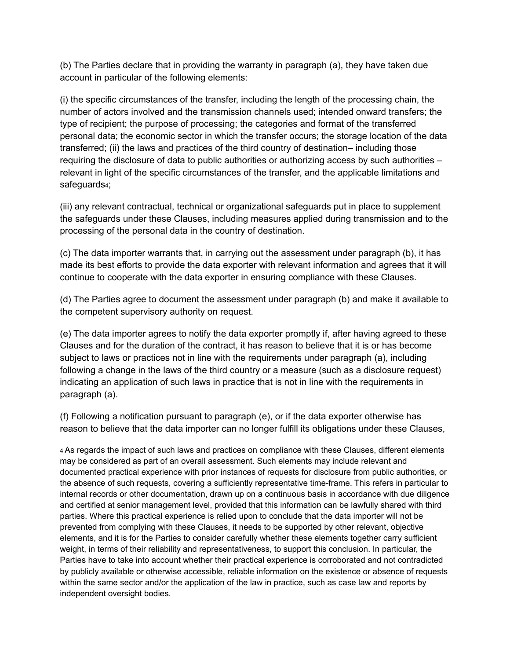(b) The Parties declare that in providing the warranty in paragraph (a), they have taken due account in particular of the following elements:

(i) the specific circumstances of the transfer, including the length of the processing chain, the number of actors involved and the transmission channels used; intended onward transfers; the type of recipient; the purpose of processing; the categories and format of the transferred personal data; the economic sector in which the transfer occurs; the storage location of the data transferred; (ii) the laws and practices of the third country of destination– including those requiring the disclosure of data to public authorities or authorizing access by such authorities – relevant in light of the specific circumstances of the transfer, and the applicable limitations and safeguards4;

(iii) any relevant contractual, technical or organizational safeguards put in place to supplement the safeguards under these Clauses, including measures applied during transmission and to the processing of the personal data in the country of destination.

(c) The data importer warrants that, in carrying out the assessment under paragraph (b), it has made its best efforts to provide the data exporter with relevant information and agrees that it will continue to cooperate with the data exporter in ensuring compliance with these Clauses.

(d) The Parties agree to document the assessment under paragraph (b) and make it available to the competent supervisory authority on request.

(e) The data importer agrees to notify the data exporter promptly if, after having agreed to these Clauses and for the duration of the contract, it has reason to believe that it is or has become subject to laws or practices not in line with the requirements under paragraph (a), including following a change in the laws of the third country or a measure (such as a disclosure request) indicating an application of such laws in practice that is not in line with the requirements in paragraph (a).

(f) Following a notification pursuant to paragraph (e), or if the data exporter otherwise has reason to believe that the data importer can no longer fulfill its obligations under these Clauses,

<sup>4</sup> As regards the impact of such laws and practices on compliance with these Clauses, different elements may be considered as part of an overall assessment. Such elements may include relevant and documented practical experience with prior instances of requests for disclosure from public authorities, or the absence of such requests, covering a sufficiently representative time-frame. This refers in particular to internal records or other documentation, drawn up on a continuous basis in accordance with due diligence and certified at senior management level, provided that this information can be lawfully shared with third parties. Where this practical experience is relied upon to conclude that the data importer will not be prevented from complying with these Clauses, it needs to be supported by other relevant, objective elements, and it is for the Parties to consider carefully whether these elements together carry sufficient weight, in terms of their reliability and representativeness, to support this conclusion. In particular, the Parties have to take into account whether their practical experience is corroborated and not contradicted by publicly available or otherwise accessible, reliable information on the existence or absence of requests within the same sector and/or the application of the law in practice, such as case law and reports by independent oversight bodies.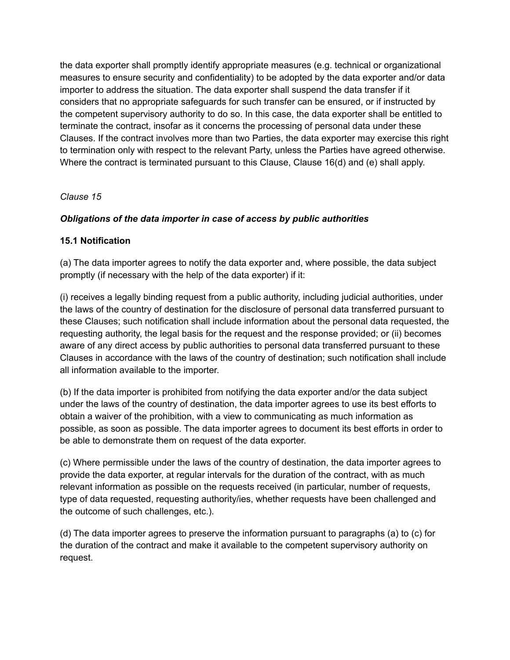the data exporter shall promptly identify appropriate measures (e.g. technical or organizational measures to ensure security and confidentiality) to be adopted by the data exporter and/or data importer to address the situation. The data exporter shall suspend the data transfer if it considers that no appropriate safeguards for such transfer can be ensured, or if instructed by the competent supervisory authority to do so. In this case, the data exporter shall be entitled to terminate the contract, insofar as it concerns the processing of personal data under these Clauses. If the contract involves more than two Parties, the data exporter may exercise this right to termination only with respect to the relevant Party, unless the Parties have agreed otherwise. Where the contract is terminated pursuant to this Clause, Clause 16(d) and (e) shall apply.

# *Clause 15*

# *Obligations of the data importer in case of access by public authorities*

# **15.1 Notification**

(a) The data importer agrees to notify the data exporter and, where possible, the data subject promptly (if necessary with the help of the data exporter) if it:

(i) receives a legally binding request from a public authority, including judicial authorities, under the laws of the country of destination for the disclosure of personal data transferred pursuant to these Clauses; such notification shall include information about the personal data requested, the requesting authority, the legal basis for the request and the response provided; or (ii) becomes aware of any direct access by public authorities to personal data transferred pursuant to these Clauses in accordance with the laws of the country of destination; such notification shall include all information available to the importer.

(b) If the data importer is prohibited from notifying the data exporter and/or the data subject under the laws of the country of destination, the data importer agrees to use its best efforts to obtain a waiver of the prohibition, with a view to communicating as much information as possible, as soon as possible. The data importer agrees to document its best efforts in order to be able to demonstrate them on request of the data exporter.

(c) Where permissible under the laws of the country of destination, the data importer agrees to provide the data exporter, at regular intervals for the duration of the contract, with as much relevant information as possible on the requests received (in particular, number of requests, type of data requested, requesting authority/ies, whether requests have been challenged and the outcome of such challenges, etc.).

(d) The data importer agrees to preserve the information pursuant to paragraphs (a) to (c) for the duration of the contract and make it available to the competent supervisory authority on request.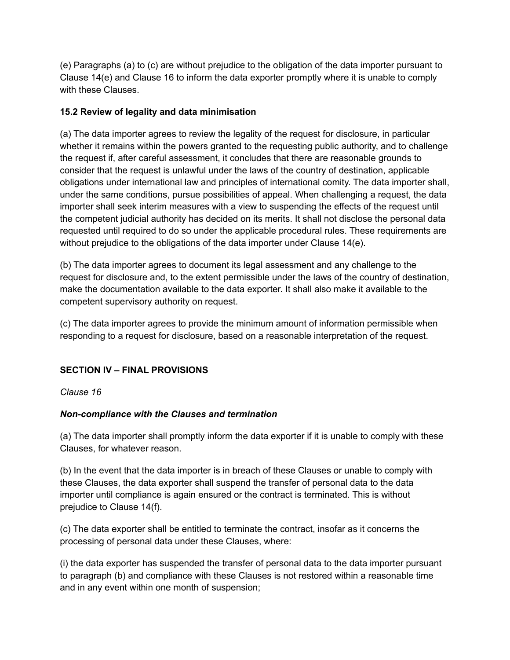(e) Paragraphs (a) to (c) are without prejudice to the obligation of the data importer pursuant to Clause 14(e) and Clause 16 to inform the data exporter promptly where it is unable to comply with these Clauses.

# **15.2 Review of legality and data minimisation**

(a) The data importer agrees to review the legality of the request for disclosure, in particular whether it remains within the powers granted to the requesting public authority, and to challenge the request if, after careful assessment, it concludes that there are reasonable grounds to consider that the request is unlawful under the laws of the country of destination, applicable obligations under international law and principles of international comity. The data importer shall, under the same conditions, pursue possibilities of appeal. When challenging a request, the data importer shall seek interim measures with a view to suspending the effects of the request until the competent judicial authority has decided on its merits. It shall not disclose the personal data requested until required to do so under the applicable procedural rules. These requirements are without prejudice to the obligations of the data importer under Clause 14(e).

(b) The data importer agrees to document its legal assessment and any challenge to the request for disclosure and, to the extent permissible under the laws of the country of destination, make the documentation available to the data exporter. It shall also make it available to the competent supervisory authority on request.

(c) The data importer agrees to provide the minimum amount of information permissible when responding to a request for disclosure, based on a reasonable interpretation of the request.

# **SECTION IV – FINAL PROVISIONS**

# *Clause 16*

# *Non-compliance with the Clauses and termination*

(a) The data importer shall promptly inform the data exporter if it is unable to comply with these Clauses, for whatever reason.

(b) In the event that the data importer is in breach of these Clauses or unable to comply with these Clauses, the data exporter shall suspend the transfer of personal data to the data importer until compliance is again ensured or the contract is terminated. This is without prejudice to Clause 14(f).

(c) The data exporter shall be entitled to terminate the contract, insofar as it concerns the processing of personal data under these Clauses, where:

(i) the data exporter has suspended the transfer of personal data to the data importer pursuant to paragraph (b) and compliance with these Clauses is not restored within a reasonable time and in any event within one month of suspension;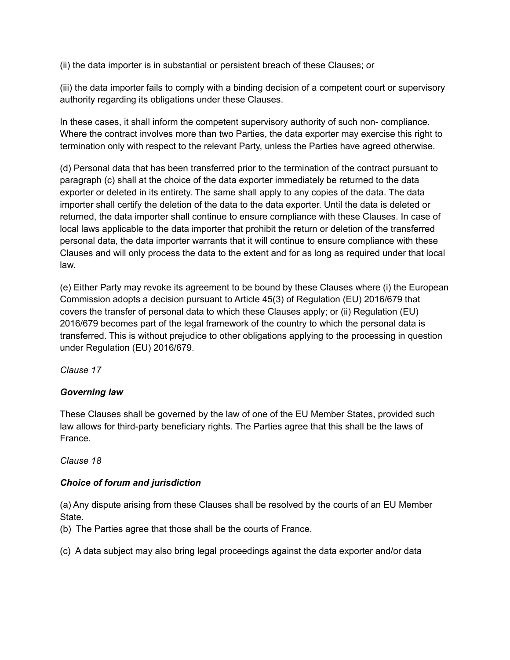(ii) the data importer is in substantial or persistent breach of these Clauses; or

(iii) the data importer fails to comply with a binding decision of a competent court or supervisory authority regarding its obligations under these Clauses.

In these cases, it shall inform the competent supervisory authority of such non- compliance. Where the contract involves more than two Parties, the data exporter may exercise this right to termination only with respect to the relevant Party, unless the Parties have agreed otherwise.

(d) Personal data that has been transferred prior to the termination of the contract pursuant to paragraph (c) shall at the choice of the data exporter immediately be returned to the data exporter or deleted in its entirety. The same shall apply to any copies of the data. The data importer shall certify the deletion of the data to the data exporter. Until the data is deleted or returned, the data importer shall continue to ensure compliance with these Clauses. In case of local laws applicable to the data importer that prohibit the return or deletion of the transferred personal data, the data importer warrants that it will continue to ensure compliance with these Clauses and will only process the data to the extent and for as long as required under that local law.

(e) Either Party may revoke its agreement to be bound by these Clauses where (i) the European Commission adopts a decision pursuant to Article 45(3) of Regulation (EU) 2016/679 that covers the transfer of personal data to which these Clauses apply; or (ii) Regulation (EU) 2016/679 becomes part of the legal framework of the country to which the personal data is transferred. This is without prejudice to other obligations applying to the processing in question under Regulation (EU) 2016/679.

*Clause 17*

# *Governing law*

These Clauses shall be governed by the law of one of the EU Member States, provided such law allows for third-party beneficiary rights. The Parties agree that this shall be the laws of France.

*Clause 18*

# *Choice of forum and jurisdiction*

(a) Any dispute arising from these Clauses shall be resolved by the courts of an EU Member State.

(b) The Parties agree that those shall be the courts of France.

(c) A data subject may also bring legal proceedings against the data exporter and/or data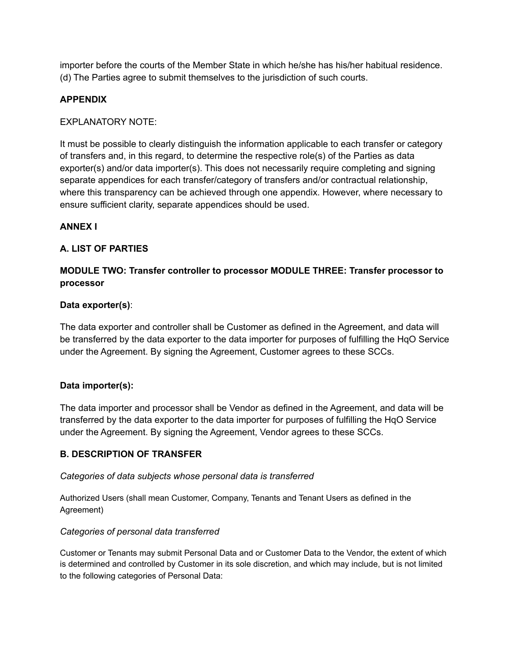importer before the courts of the Member State in which he/she has his/her habitual residence. (d) The Parties agree to submit themselves to the jurisdiction of such courts.

## **APPENDIX**

EXPLANATORY NOTE:

It must be possible to clearly distinguish the information applicable to each transfer or category of transfers and, in this regard, to determine the respective role(s) of the Parties as data exporter(s) and/or data importer(s). This does not necessarily require completing and signing separate appendices for each transfer/category of transfers and/or contractual relationship, where this transparency can be achieved through one appendix. However, where necessary to ensure sufficient clarity, separate appendices should be used.

## **ANNEX I**

## **A. LIST OF PARTIES**

# **MODULE TWO: Transfer controller to processor MODULE THREE: Transfer processor to processor**

### **Data exporter(s)**:

The data exporter and controller shall be Customer as defined in the Agreement, and data will be transferred by the data exporter to the data importer for purposes of fulfilling the HqO Service under the Agreement. By signing the Agreement, Customer agrees to these SCCs.

### **Data importer(s):**

The data importer and processor shall be Vendor as defined in the Agreement, and data will be transferred by the data exporter to the data importer for purposes of fulfilling the HqO Service under the Agreement. By signing the Agreement, Vendor agrees to these SCCs.

### **B. DESCRIPTION OF TRANSFER**

#### *Categories of data subjects whose personal data is transferred*

Authorized Users (shall mean Customer, Company, Tenants and Tenant Users as defined in the Agreement)

### *Categories of personal data transferred*

Customer or Tenants may submit Personal Data and or Customer Data to the Vendor, the extent of which is determined and controlled by Customer in its sole discretion, and which may include, but is not limited to the following categories of Personal Data: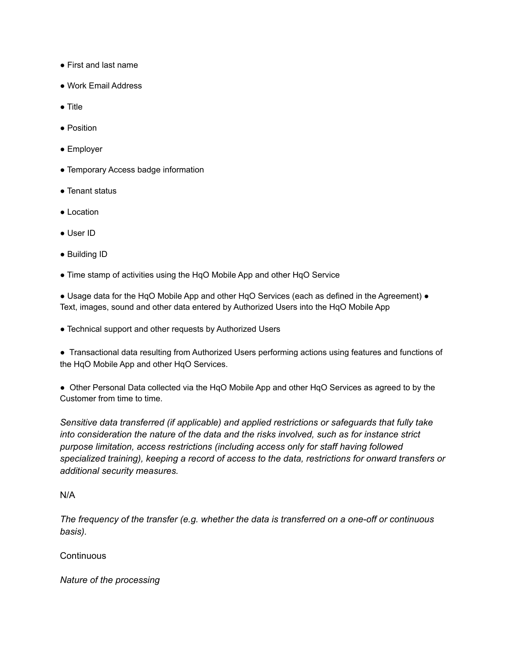- First and last name
- Work Email Address
- Title
- Position
- Employer
- Temporary Access badge information
- Tenant status
- Location
- User ID
- Building ID
- Time stamp of activities using the HqO Mobile App and other HqO Service

● Usage data for the HqO Mobile App and other HqO Services (each as defined in the Agreement) ● Text, images, sound and other data entered by Authorized Users into the HqO Mobile App

● Technical support and other requests by Authorized Users

● Transactional data resulting from Authorized Users performing actions using features and functions of the HqO Mobile App and other HqO Services.

● Other Personal Data collected via the HqO Mobile App and other HqO Services as agreed to by the Customer from time to time.

*Sensitive data transferred (if applicable) and applied restrictions or safeguards that fully take into consideration the nature of the data and the risks involved, such as for instance strict purpose limitation, access restrictions (including access only for staff having followed specialized training), keeping a record of access to the data, restrictions for onward transfers or additional security measures.*

### N/A

*The frequency of the transfer (e.g. whether the data is transferred on a one-off or continuous basis).*

### **Continuous**

*Nature of the processing*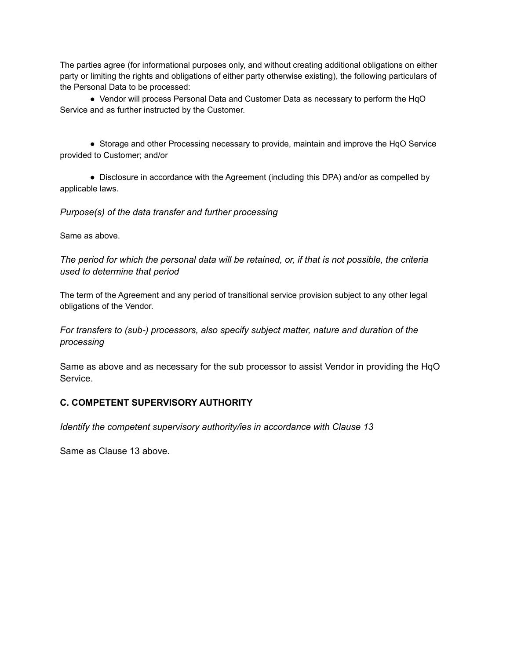The parties agree (for informational purposes only, and without creating additional obligations on either party or limiting the rights and obligations of either party otherwise existing), the following particulars of the Personal Data to be processed:

● Vendor will process Personal Data and Customer Data as necessary to perform the HqO Service and as further instructed by the Customer.

● Storage and other Processing necessary to provide, maintain and improve the HqO Service provided to Customer; and/or

● Disclosure in accordance with the Agreement (including this DPA) and/or as compelled by applicable laws.

*Purpose(s) of the data transfer and further processing*

Same as above.

*The period for which the personal data will be retained, or, if that is not possible, the criteria used to determine that period*

The term of the Agreement and any period of transitional service provision subject to any other legal obligations of the Vendor.

*For transfers to (sub-) processors, also specify subject matter, nature and duration of the processing*

Same as above and as necessary for the sub processor to assist Vendor in providing the HqO Service.

### **C. COMPETENT SUPERVISORY AUTHORITY**

*Identify the competent supervisory authority/ies in accordance with Clause 13*

Same as Clause 13 above.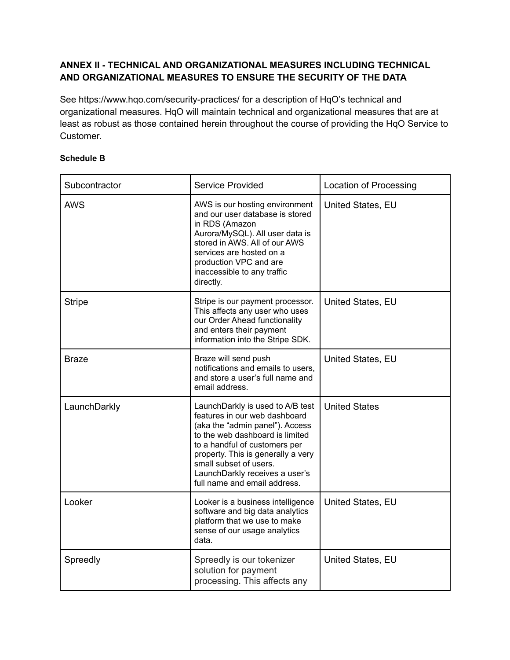# **ANNEX II - TECHNICAL AND ORGANIZATIONAL MEASURES INCLUDING TECHNICAL AND ORGANIZATIONAL MEASURES TO ENSURE THE SECURITY OF THE DATA**

See https://www.hqo.com/security-practices/ for a description of HqO's technical and organizational measures. HqO will maintain technical and organizational measures that are at least as robust as those contained herein throughout the course of providing the HqO Service to Customer.

### **Schedule B**

| Subcontractor | <b>Service Provided</b>                                                                                                                                                                                                                                                                                    | <b>Location of Processing</b> |
|---------------|------------------------------------------------------------------------------------------------------------------------------------------------------------------------------------------------------------------------------------------------------------------------------------------------------------|-------------------------------|
| <b>AWS</b>    | AWS is our hosting environment<br>and our user database is stored<br>in RDS (Amazon<br>Aurora/MySQL). All user data is<br>stored in AWS. All of our AWS<br>services are hosted on a<br>production VPC and are<br>inaccessible to any traffic<br>directly.                                                  | United States, EU             |
| <b>Stripe</b> | Stripe is our payment processor.<br>This affects any user who uses<br>our Order Ahead functionality<br>and enters their payment<br>information into the Stripe SDK.                                                                                                                                        | United States, EU             |
| <b>Braze</b>  | Braze will send push<br>notifications and emails to users,<br>and store a user's full name and<br>email address.                                                                                                                                                                                           | United States, EU             |
| LaunchDarkly  | LaunchDarkly is used to A/B test<br>features in our web dashboard<br>(aka the "admin panel"). Access<br>to the web dashboard is limited<br>to a handful of customers per<br>property. This is generally a very<br>small subset of users.<br>LaunchDarkly receives a user's<br>full name and email address. | <b>United States</b>          |
| Looker        | Looker is a business intelligence<br>software and big data analytics<br>platform that we use to make<br>sense of our usage analytics<br>data.                                                                                                                                                              | United States, EU             |
| Spreedly      | Spreedly is our tokenizer<br>solution for payment<br>processing. This affects any                                                                                                                                                                                                                          | United States, EU             |